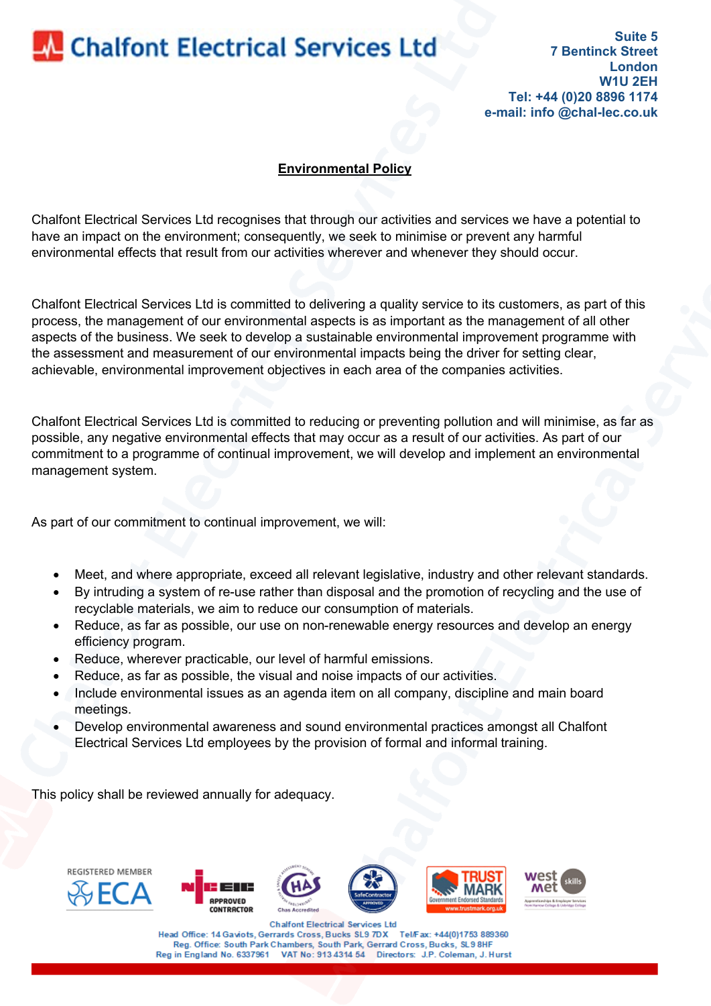## **Chalfont Electrical Services Ltd**

**Suite 5 7 Bentinck Street London W1U 2EH Tel: +44 (0)20 8896 1174 e-mail: info @chal-lec.co.uk**

## **Environmental Policy**

Chalfont Electrical Services Ltd recognises that through our activities and services we have a potential to have an impact on the environment; consequently, we seek to minimise or prevent any harmful environmental effects that result from our activities wherever and whenever they should occur.

Chalfont Electrical Services Ltd is committed to delivering a quality service to its customers, as part of this process, the management of our environmental aspects is as important as the management of all other aspects of the business. We seek to develop a sustainable environmental improvement programme with the assessment and measurement of our environmental impacts being the driver for setting clear, achievable, environmental improvement objectives in each area of the companies activities.

Chalfont Electrical Services Ltd is committed to reducing or preventing pollution and will minimise, as far as possible, any negative environmental effects that may occur as a result of our activities. As part of our commitment to a programme of continual improvement, we will develop and implement an environmental management system.

As part of our commitment to continual improvement, we will:

- Meet, and where appropriate, exceed all relevant legislative, industry and other relevant standards.
- By intruding a system of re-use rather than disposal and the promotion of recycling and the use of recyclable materials, we aim to reduce our consumption of materials.
- Reduce, as far as possible, our use on non-renewable energy resources and develop an energy efficiency program.
- Reduce, wherever practicable, our level of harmful emissions.
- Reduce, as far as possible, the visual and noise impacts of our activities.
- Include environmental issues as an agenda item on all company, discipline and main board meetings.
- Develop environmental awareness and sound environmental practices amongst all Chalfont Electrical Services Ltd employees by the provision of formal and informal training.

This policy shall be reviewed annually for adequacy.



Head Office: 14 Gaviots, Gerrards Cross, Bucks SL9 7DX Tel/Fax: +44(0)1753 889360 Reg. Office: South Park Chambers, South Park, Gerrard Cross, Bucks, SL9 8HF Reg in England No. 6337961 VAT No: 913 4314 54 Directors: J.P. Coleman, J. Hurst